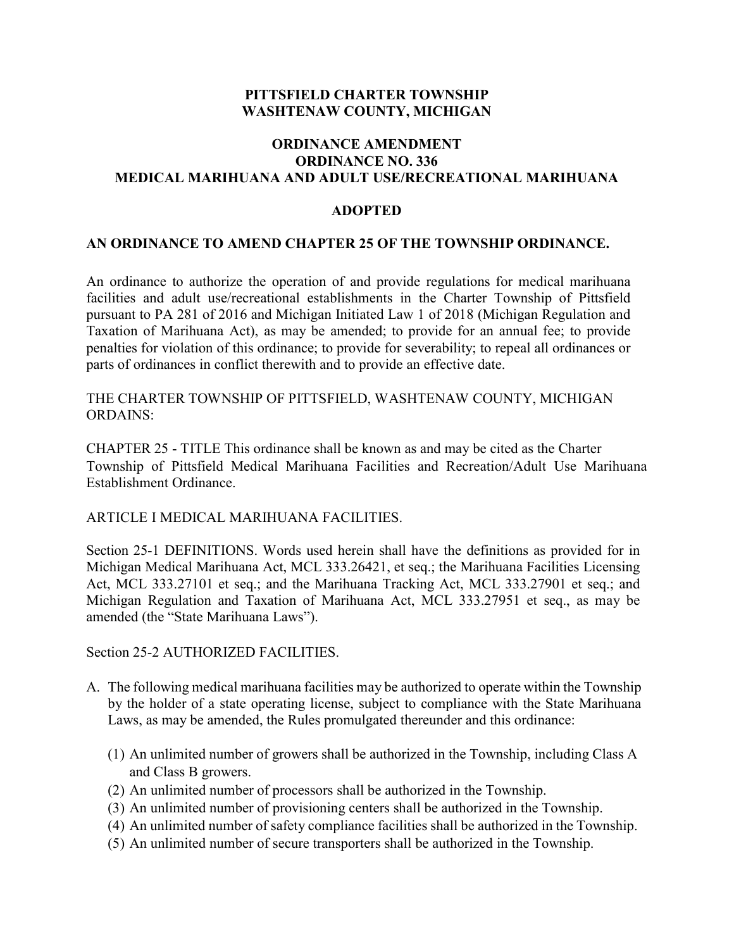## **PITTSFIELD CHARTER TOWNSHIP WASHTENAW COUNTY, MICHIGAN**

## **ORDINANCE AMENDMENT ORDINANCE NO. 336 MEDICAL MARIHUANA AND ADULT USE/RECREATIONAL MARIHUANA**

#### **ADOPTED**

## **AN ORDINANCE TO AMEND CHAPTER 25 OF THE TOWNSHIP ORDINANCE.**

An ordinance to authorize the operation of and provide regulations for medical marihuana facilities and adult use/recreational establishments in the Charter Township of Pittsfield pursuant to PA 281 of 2016 and Michigan Initiated Law 1 of 2018 (Michigan Regulation and Taxation of Marihuana Act), as may be amended; to provide for an annual fee; to provide penalties for violation of this ordinance; to provide for severability; to repeal all ordinances or parts of ordinances in conflict therewith and to provide an effective date.

THE CHARTER TOWNSHIP OF PITTSFIELD, WASHTENAW COUNTY, MICHIGAN ORDAINS:

CHAPTER 25 - TITLE This ordinance shall be known as and may be cited as the Charter Township of Pittsfield Medical Marihuana Facilities and Recreation/Adult Use Marihuana Establishment Ordinance.

ARTICLE I MEDICAL MARIHUANA FACILITIES.

Section 25-1 DEFINITIONS. Words used herein shall have the definitions as provided for in Michigan Medical Marihuana Act, MCL 333.26421, et seq.; the Marihuana Facilities Licensing Act, MCL 333.27101 et seq.; and the Marihuana Tracking Act, MCL 333.27901 et seq.; and Michigan Regulation and Taxation of Marihuana Act, MCL 333.27951 et seq., as may be amended (the "State Marihuana Laws").

Section 25-2 AUTHORIZED FACILITIES.

- A. The following medical marihuana facilities may be authorized to operate within the Township by the holder of a state operating license, subject to compliance with the State Marihuana Laws, as may be amended, the Rules promulgated thereunder and this ordinance:
	- (1) An unlimited number of growers shall be authorized in the Township, including Class A and Class B growers.
	- (2) An unlimited number of processors shall be authorized in the Township.
	- (3) An unlimited number of provisioning centers shall be authorized in the Township.
	- (4) An unlimited number of safety compliance facilities shall be authorized in the Township.
	- (5) An unlimited number of secure transporters shall be authorized in the Township.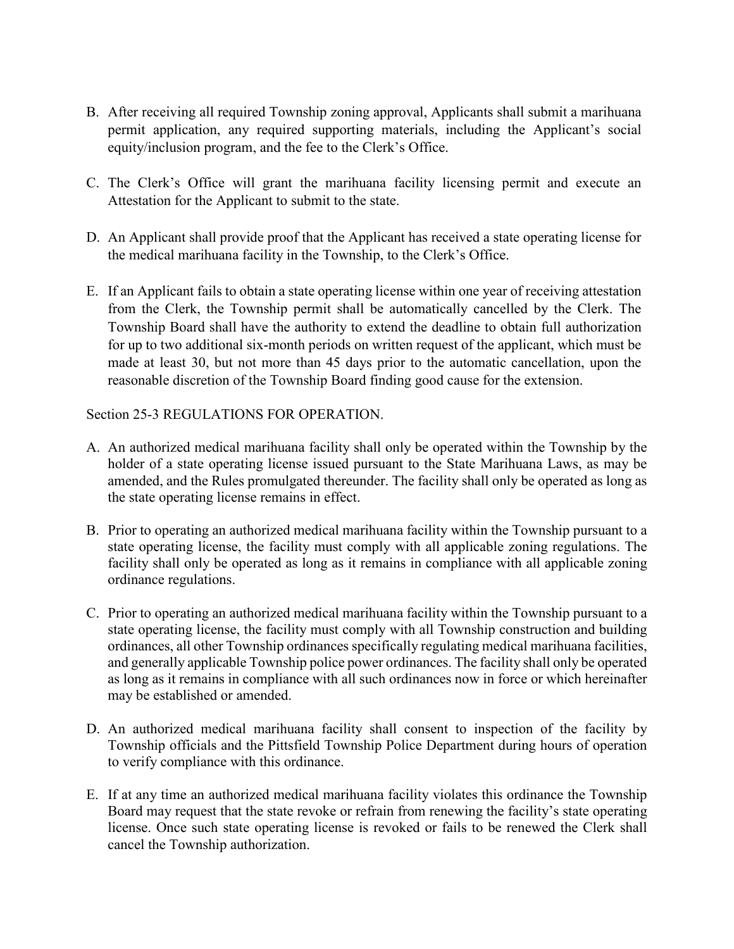- B. After receiving all required Township zoning approval, Applicants shall submit a marihuana permit application, any required supporting materials, including the Applicant's social equity/inclusion program, and the fee to the Clerk's Office.
- C. The Clerk's Office will grant the marihuana facility licensing permit and execute an Attestation for the Applicant to submit to the state.
- D. An Applicant shall provide proof that the Applicant has received a state operating license for the medical marihuana facility in the Township, to the Clerk's Office.
- E. If an Applicant fails to obtain a state operating license within one year of receiving attestation from the Clerk, the Township permit shall be automatically cancelled by the Clerk. The Township Board shall have the authority to extend the deadline to obtain full authorization for up to two additional six-month periods on written request of the applicant, which must be made at least 30, but not more than 45 days prior to the automatic cancellation, upon the reasonable discretion of the Township Board finding good cause for the extension.

## Section 25-3 REGULATIONS FOR OPERATION.

- A. An authorized medical marihuana facility shall only be operated within the Township by the holder of a state operating license issued pursuant to the State Marihuana Laws, as may be amended, and the Rules promulgated thereunder. The facility shall only be operated as long as the state operating license remains in effect.
- B. Prior to operating an authorized medical marihuana facility within the Township pursuant to a state operating license, the facility must comply with all applicable zoning regulations. The facility shall only be operated as long as it remains in compliance with all applicable zoning ordinance regulations.
- C. Prior to operating an authorized medical marihuana facility within the Township pursuant to a state operating license, the facility must comply with all Township construction and building ordinances, all other Township ordinances specifically regulating medical marihuana facilities, and generally applicable Township police power ordinances. The facility shall only be operated as long as it remains in compliance with all such ordinances now in force or which hereinafter may be established or amended.
- D. An authorized medical marihuana facility shall consent to inspection of the facility by Township officials and the Pittsfield Township Police Department during hours of operation to verify compliance with this ordinance.
- E. If at any time an authorized medical marihuana facility violates this ordinance the Township Board may request that the state revoke or refrain from renewing the facility's state operating license. Once such state operating license is revoked or fails to be renewed the Clerk shall cancel the Township authorization.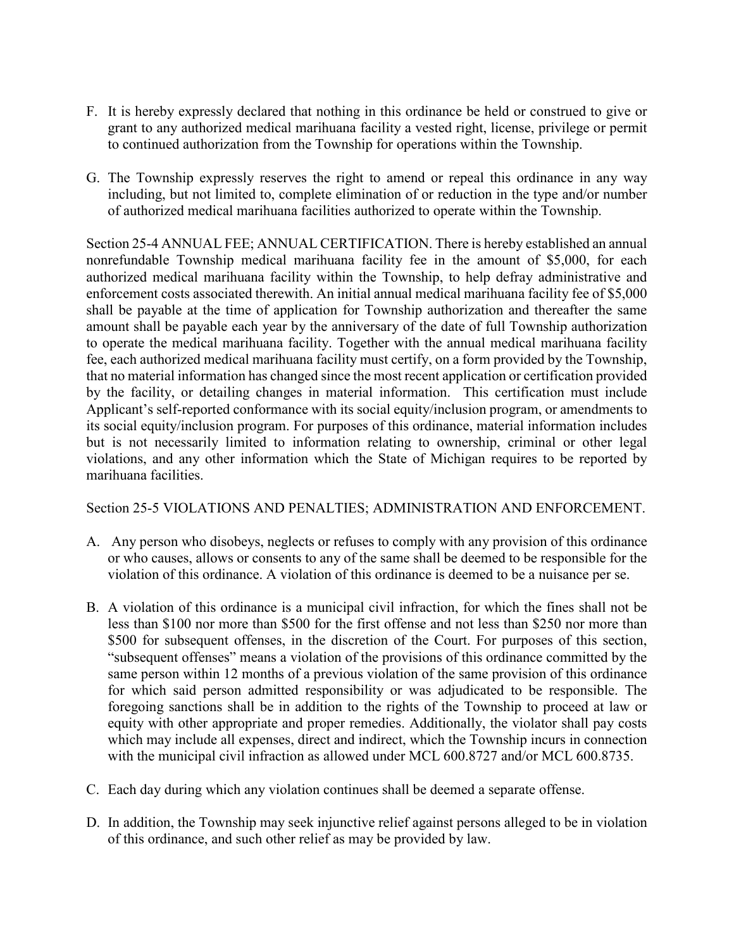- F. It is hereby expressly declared that nothing in this ordinance be held or construed to give or grant to any authorized medical marihuana facility a vested right, license, privilege or permit to continued authorization from the Township for operations within the Township.
- G. The Township expressly reserves the right to amend or repeal this ordinance in any way including, but not limited to, complete elimination of or reduction in the type and/or number of authorized medical marihuana facilities authorized to operate within the Township.

Section 25-4 ANNUAL FEE; ANNUAL CERTIFICATION. There is hereby established an annual nonrefundable Township medical marihuana facility fee in the amount of \$5,000, for each authorized medical marihuana facility within the Township, to help defray administrative and enforcement costs associated therewith. An initial annual medical marihuana facility fee of \$5,000 shall be payable at the time of application for Township authorization and thereafter the same amount shall be payable each year by the anniversary of the date of full Township authorization to operate the medical marihuana facility. Together with the annual medical marihuana facility fee, each authorized medical marihuana facility must certify, on a form provided by the Township, that no material information has changed since the most recent application or certification provided by the facility, or detailing changes in material information. This certification must include Applicant's self-reported conformance with its social equity/inclusion program, or amendments to its social equity/inclusion program. For purposes of this ordinance, material information includes but is not necessarily limited to information relating to ownership, criminal or other legal violations, and any other information which the State of Michigan requires to be reported by marihuana facilities.

## Section 25-5 VIOLATIONS AND PENALTIES; ADMINISTRATION AND ENFORCEMENT.

- A. Any person who disobeys, neglects or refuses to comply with any provision of this ordinance or who causes, allows or consents to any of the same shall be deemed to be responsible for the violation of this ordinance. A violation of this ordinance is deemed to be a nuisance per se.
- B. A violation of this ordinance is a municipal civil infraction, for which the fines shall not be less than \$100 nor more than \$500 for the first offense and not less than \$250 nor more than \$500 for subsequent offenses, in the discretion of the Court. For purposes of this section, "subsequent offenses" means a violation of the provisions of this ordinance committed by the same person within 12 months of a previous violation of the same provision of this ordinance for which said person admitted responsibility or was adjudicated to be responsible. The foregoing sanctions shall be in addition to the rights of the Township to proceed at law or equity with other appropriate and proper remedies. Additionally, the violator shall pay costs which may include all expenses, direct and indirect, which the Township incurs in connection with the municipal civil infraction as allowed under MCL 600.8727 and/or MCL 600.8735.
- C. Each day during which any violation continues shall be deemed a separate offense.
- D. In addition, the Township may seek injunctive relief against persons alleged to be in violation of this ordinance, and such other relief as may be provided by law.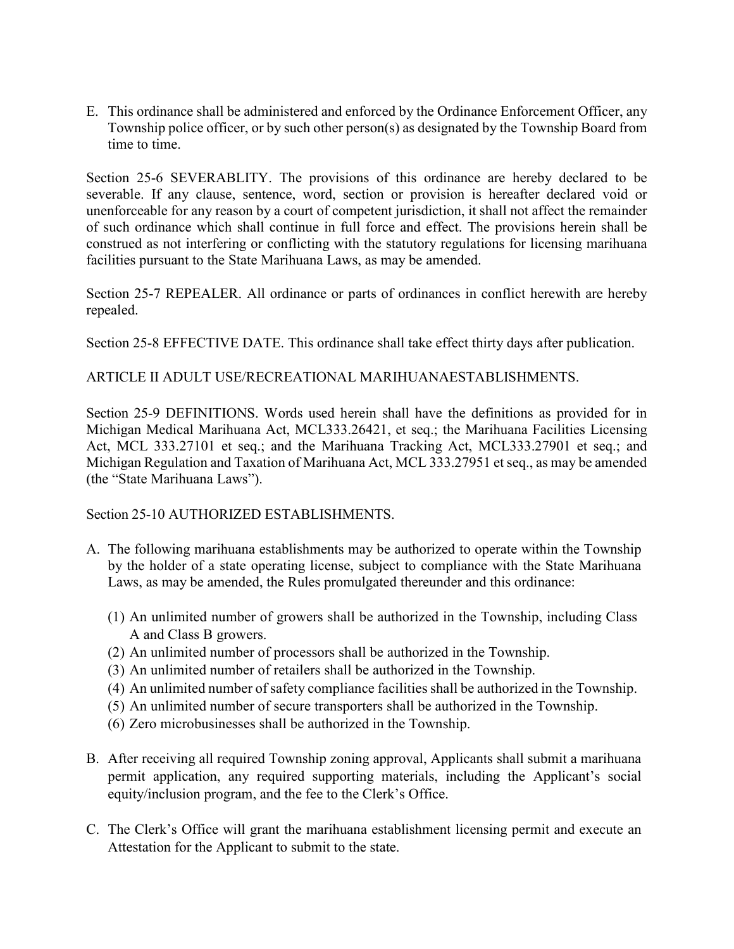E. This ordinance shall be administered and enforced by the Ordinance Enforcement Officer, any Township police officer, or by such other person(s) as designated by the Township Board from time to time.

Section 25-6 SEVERABLITY. The provisions of this ordinance are hereby declared to be severable. If any clause, sentence, word, section or provision is hereafter declared void or unenforceable for any reason by a court of competent jurisdiction, it shall not affect the remainder of such ordinance which shall continue in full force and effect. The provisions herein shall be construed as not interfering or conflicting with the statutory regulations for licensing marihuana facilities pursuant to the State Marihuana Laws, as may be amended.

Section 25-7 REPEALER. All ordinance or parts of ordinances in conflict herewith are hereby repealed.

Section 25-8 EFFECTIVE DATE. This ordinance shall take effect thirty days after publication.

## ARTICLE II ADULT USE/RECREATIONAL MARIHUANAESTABLISHMENTS.

Section 25-9 DEFINITIONS. Words used herein shall have the definitions as provided for in Michigan Medical Marihuana Act, MCL333.26421, et seq.; the Marihuana Facilities Licensing Act, MCL 333.27101 et seq.; and the Marihuana Tracking Act, MCL333.27901 et seq.; and Michigan Regulation and Taxation of Marihuana Act, MCL 333.27951 et seq., as may be amended (the "State Marihuana Laws").

## Section 25-10 AUTHORIZED ESTABLISHMENTS.

- A. The following marihuana establishments may be authorized to operate within the Township by the holder of a state operating license, subject to compliance with the State Marihuana Laws, as may be amended, the Rules promulgated thereunder and this ordinance:
	- (1) An unlimited number of growers shall be authorized in the Township, including Class A and Class B growers.
	- (2) An unlimited number of processors shall be authorized in the Township.
	- (3) An unlimited number of retailers shall be authorized in the Township.
	- (4) An unlimited number of safety compliance facilities shall be authorized in the Township.
	- (5) An unlimited number of secure transporters shall be authorized in the Township.
	- (6) Zero microbusinesses shall be authorized in the Township.
- B. After receiving all required Township zoning approval, Applicants shall submit a marihuana permit application, any required supporting materials, including the Applicant's social equity/inclusion program, and the fee to the Clerk's Office.
- C. The Clerk's Office will grant the marihuana establishment licensing permit and execute an Attestation for the Applicant to submit to the state.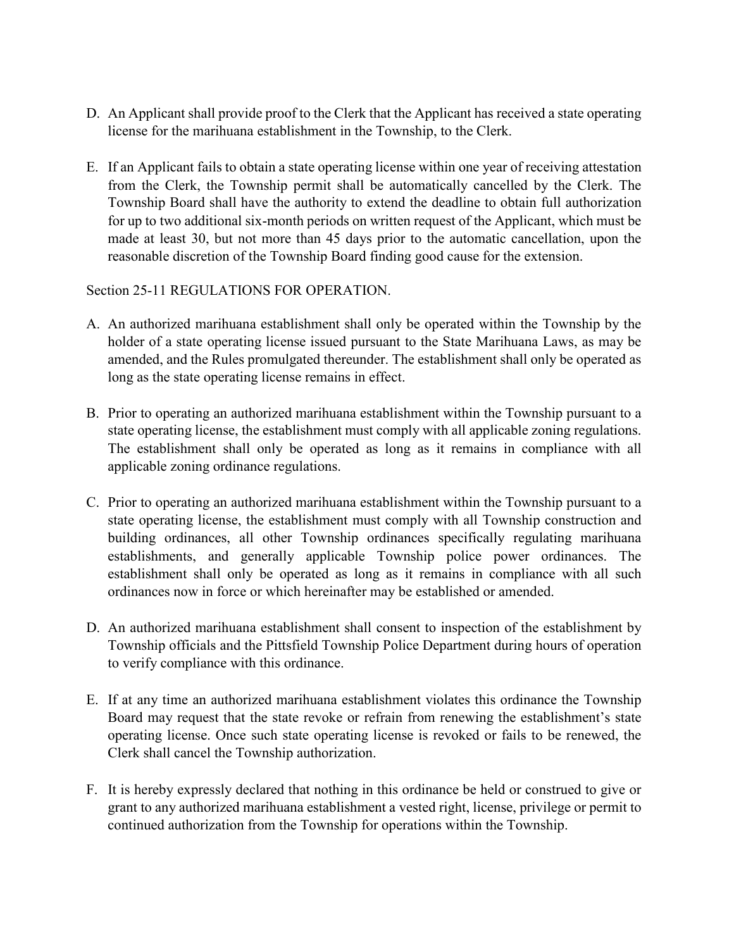- D. An Applicant shall provide proof to the Clerk that the Applicant has received a state operating license for the marihuana establishment in the Township, to the Clerk.
- E. If an Applicant fails to obtain a state operating license within one year of receiving attestation from the Clerk, the Township permit shall be automatically cancelled by the Clerk. The Township Board shall have the authority to extend the deadline to obtain full authorization for up to two additional six-month periods on written request of the Applicant, which must be made at least 30, but not more than 45 days prior to the automatic cancellation, upon the reasonable discretion of the Township Board finding good cause for the extension.

## Section 25-11 REGULATIONS FOR OPERATION.

- A. An authorized marihuana establishment shall only be operated within the Township by the holder of a state operating license issued pursuant to the State Marihuana Laws, as may be amended, and the Rules promulgated thereunder. The establishment shall only be operated as long as the state operating license remains in effect.
- B. Prior to operating an authorized marihuana establishment within the Township pursuant to a state operating license, the establishment must comply with all applicable zoning regulations. The establishment shall only be operated as long as it remains in compliance with all applicable zoning ordinance regulations.
- C. Prior to operating an authorized marihuana establishment within the Township pursuant to a state operating license, the establishment must comply with all Township construction and building ordinances, all other Township ordinances specifically regulating marihuana establishments, and generally applicable Township police power ordinances. The establishment shall only be operated as long as it remains in compliance with all such ordinances now in force or which hereinafter may be established or amended.
- D. An authorized marihuana establishment shall consent to inspection of the establishment by Township officials and the Pittsfield Township Police Department during hours of operation to verify compliance with this ordinance.
- E. If at any time an authorized marihuana establishment violates this ordinance the Township Board may request that the state revoke or refrain from renewing the establishment's state operating license. Once such state operating license is revoked or fails to be renewed, the Clerk shall cancel the Township authorization.
- F. It is hereby expressly declared that nothing in this ordinance be held or construed to give or grant to any authorized marihuana establishment a vested right, license, privilege or permit to continued authorization from the Township for operations within the Township.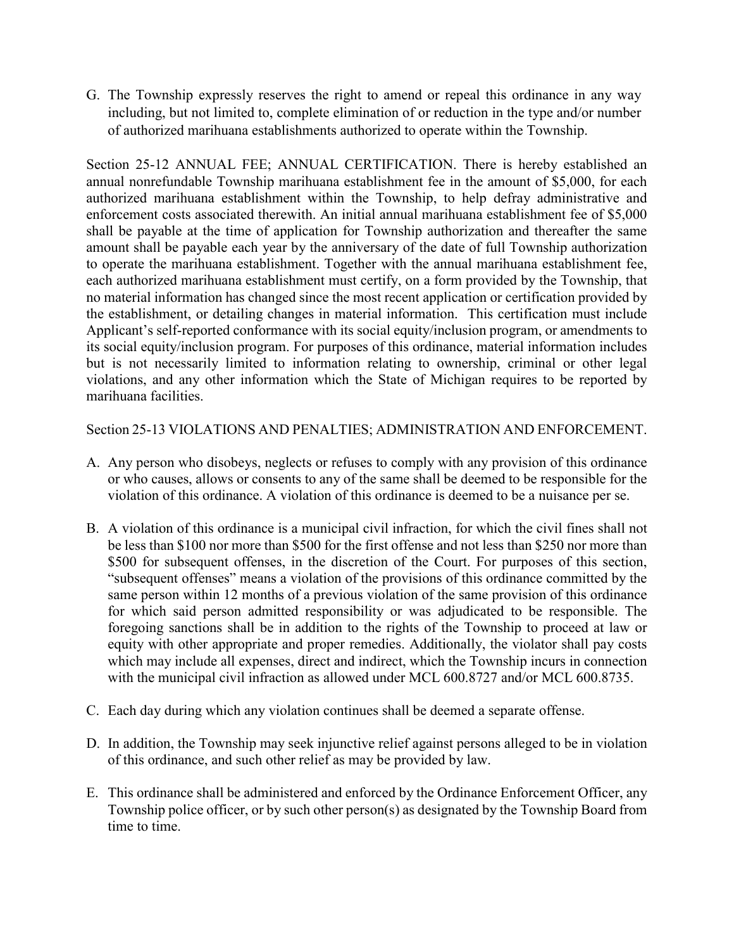G. The Township expressly reserves the right to amend or repeal this ordinance in any way including, but not limited to, complete elimination of or reduction in the type and/or number of authorized marihuana establishments authorized to operate within the Township.

Section 25-12 ANNUAL FEE; ANNUAL CERTIFICATION. There is hereby established an annual nonrefundable Township marihuana establishment fee in the amount of \$5,000, for each authorized marihuana establishment within the Township, to help defray administrative and enforcement costs associated therewith. An initial annual marihuana establishment fee of \$5,000 shall be payable at the time of application for Township authorization and thereafter the same amount shall be payable each year by the anniversary of the date of full Township authorization to operate the marihuana establishment. Together with the annual marihuana establishment fee, each authorized marihuana establishment must certify, on a form provided by the Township, that no material information has changed since the most recent application or certification provided by the establishment, or detailing changes in material information. This certification must include Applicant's self-reported conformance with its social equity/inclusion program, or amendments to its social equity/inclusion program. For purposes of this ordinance, material information includes but is not necessarily limited to information relating to ownership, criminal or other legal violations, and any other information which the State of Michigan requires to be reported by marihuana facilities.

Section 25-13 VIOLATIONS AND PENALTIES; ADMINISTRATION AND ENFORCEMENT.

- A. Any person who disobeys, neglects or refuses to comply with any provision of this ordinance or who causes, allows or consents to any of the same shall be deemed to be responsible for the violation of this ordinance. A violation of this ordinance is deemed to be a nuisance per se.
- B. A violation of this ordinance is a municipal civil infraction, for which the civil fines shall not be less than \$100 nor more than \$500 for the first offense and not less than \$250 nor more than \$500 for subsequent offenses, in the discretion of the Court. For purposes of this section, "subsequent offenses" means a violation of the provisions of this ordinance committed by the same person within 12 months of a previous violation of the same provision of this ordinance for which said person admitted responsibility or was adjudicated to be responsible. The foregoing sanctions shall be in addition to the rights of the Township to proceed at law or equity with other appropriate and proper remedies. Additionally, the violator shall pay costs which may include all expenses, direct and indirect, which the Township incurs in connection with the municipal civil infraction as allowed under MCL 600.8727 and/or MCL 600.8735.
- C. Each day during which any violation continues shall be deemed a separate offense.
- D. In addition, the Township may seek injunctive relief against persons alleged to be in violation of this ordinance, and such other relief as may be provided by law.
- E. This ordinance shall be administered and enforced by the Ordinance Enforcement Officer, any Township police officer, or by such other person(s) as designated by the Township Board from time to time.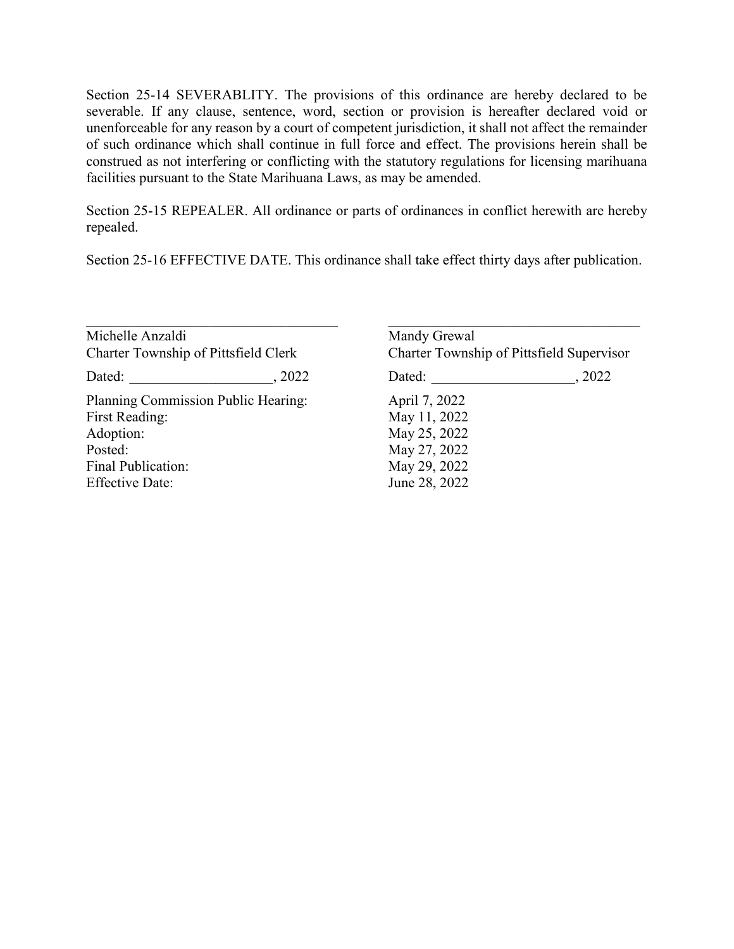Section 25-14 SEVERABLITY. The provisions of this ordinance are hereby declared to be severable. If any clause, sentence, word, section or provision is hereafter declared void or unenforceable for any reason by a court of competent jurisdiction, it shall not affect the remainder of such ordinance which shall continue in full force and effect. The provisions herein shall be construed as not interfering or conflicting with the statutory regulations for licensing marihuana facilities pursuant to the State Marihuana Laws, as may be amended.

Section 25-15 REPEALER. All ordinance or parts of ordinances in conflict herewith are hereby repealed.

Section 25-16 EFFECTIVE DATE. This ordinance shall take effect thirty days after publication.

| Michelle Anzaldi<br>Charter Township of Pittsfield Clerk                                                                      |        | Mandy Grewal<br>Charter Township of Pittsfield Supervisor                                      |        |
|-------------------------------------------------------------------------------------------------------------------------------|--------|------------------------------------------------------------------------------------------------|--------|
| Dated:                                                                                                                        | , 2022 | Dated:                                                                                         | . 2022 |
| Planning Commission Public Hearing:<br>First Reading:<br>Adoption:<br>Posted:<br>Final Publication:<br><b>Effective Date:</b> |        | April 7, 2022<br>May 11, 2022<br>May 25, 2022<br>May 27, 2022<br>May 29, 2022<br>June 28, 2022 |        |